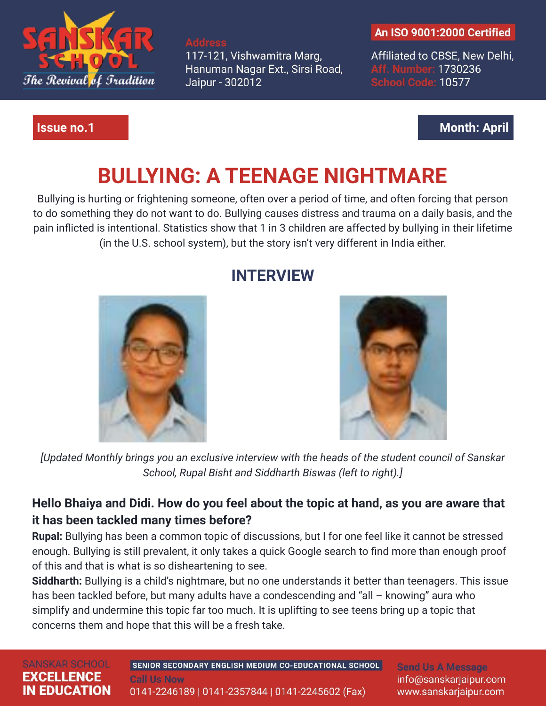

117-121, Vishwamitra Marg, Hanuman Nagar Ext., Sirsi Road, Jaipur - 302012

#### **An ISO 9001:2000 Certified**

Affiliated to CBSE, New Delhi, Aff. Number: 1730236 **School Code: 10577** 

## **Issue no.1 Month: April**

# **BULLYING: A TEENAGE NIGHTMARE**

Bullying is hurting or frightening someone, often over a period of time, and often forcing that person to do something they do not want to do. Bullying causes distress and trauma on a daily basis, and the pain inflicted is intentional. Statistics show that 1 in 3 children are affected by bullying in their lifetime (in the U.S. school system), but the story isn't very different in India either.



# **INTERVIEW**



*[Updated Monthly brings you an exclusive interview with the heads of the student council of Sanskar School, Rupal Bisht and Siddharth Biswas (left to right).]*

# **Hello Bhaiya and Didi. How do you feel about the topic at hand, as you are aware that it has been tackled many times before?**

**Rupal:** Bullying has been a common topic of discussions, but I for one feel like it cannot be stressed enough. Bullying is still prevalent, it only takes a quick Google search to find more than enough proof of this and that is what is so disheartening to see.

**Siddharth:** Bullying is a child's nightmare, but no one understands it better than teenagers. This issue has been tackled before, but many adults have a condescending and "all – knowing" aura who simplify and undermine this topic far too much. It is uplifting to see teens bring up a topic that concerns them and hope that this will be a fresh take.

#### **SANSKAR SCHOOL EXCELLENCE IN EDUCATION**

SENIOR SECONDARY ENGLISH MEDIUM CO-EDUCATIONAL SCHOOL **Call Us Now** 

**Send Us A Message** info@sanskarjaipur.com www.sanskarjaipur.com

0141-2246189 | 0141-2357844 | 0141-2245602 (Fax)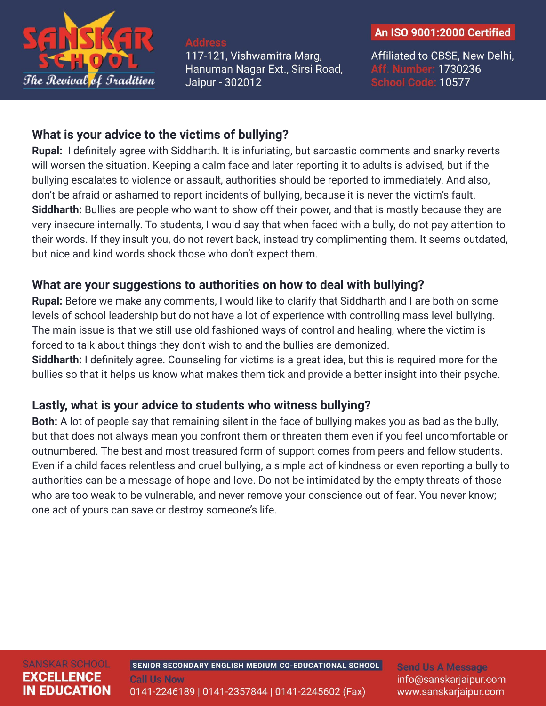

117-121, Vishwamitra Marg, Hanuman Nagar Ext., Sirsi Road, Jaipur - 302012

#### An ISO 9001:2000 Certified

Affiliated to CBSE, New Delhi, Aff. Number: 1730236 **School Code: 10577** 

### **What is your advice to the victims of bullying?**

**Rupal:** I definitely agree with Siddharth. It is infuriating, but sarcastic comments and snarky reverts will worsen the situation. Keeping a calm face and later reporting it to adults is advised, but if the bullying escalates to violence or assault, authorities should be reported to immediately. And also, don't be afraid or ashamed to report incidents of bullying, because it is never the victim's fault. **Siddharth:** Bullies are people who want to show off their power, and that is mostly because they are very insecure internally. To students, I would say that when faced with a bully, do not pay attention to their words. If they insult you, do not revert back, instead try complimenting them. It seems outdated, but nice and kind words shock those who don't expect them.

### **What are your suggestions to authorities on how to deal with bullying?**

**Rupal:** Before we make any comments, I would like to clarify that Siddharth and I are both on some levels of school leadership but do not have a lot of experience with controlling mass level bullying. The main issue is that we still use old fashioned ways of control and healing, where the victim is forced to talk about things they don't wish to and the bullies are demonized.

**Siddharth:** I definitely agree. Counseling for victims is a great idea, but this is required more for the bullies so that it helps us know what makes them tick and provide a better insight into their psyche.

### **Lastly, what is your advice to students who witness bullying?**

**Both:** A lot of people say that remaining silent in the face of bullying makes you as bad as the bully, but that does not always mean you confront them or threaten them even if you feel uncomfortable or outnumbered. The best and most treasured form of support comes from peers and fellow students. Even if a child faces relentless and cruel bullying, a simple act of kindness or even reporting a bully to authorities can be a message of hope and love. Do not be intimidated by the empty threats of those who are too weak to be vulnerable, and never remove your conscience out of fear. You never know; one act of yours can save or destroy someone's life.

**Send Us A Message** info@sanskarjaipur.com www.sanskarjaipur.com